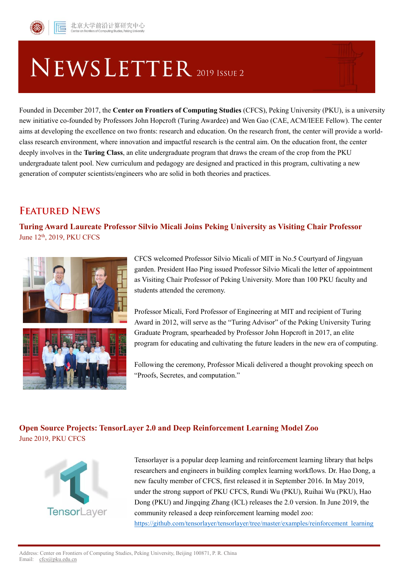

# NEWSLETTER 2019 ISSUE 2

Founded in December 2017, the **Center on Frontiers of Computing Studies** (CFCS), Peking University (PKU), is a university new initiative co-founded by Professors John Hopcroft (Turing Awardee) and Wen Gao (CAE, ACM/IEEE Fellow). The center aims at developing the excellence on two fronts: research and education. On the research front, the center will provide a worldclass research environment, where innovation and impactful research is the central aim. On the education front, the center deeply involves in the **Turing Class**, an elite undergraduate program that draws the cream of the crop from the PKU undergraduate talent pool. New curriculum and pedagogy are designed and practiced in this program, cultivating a new generation of computer scientists/engineers who are solid in both theories and practices.

# **FEATURED NEWS**

**Turing Award Laureate Professor Silvio Micali Joins Peking University as Visiting Chair Professor** June 12<sup>th</sup>, 2019, PKU CFCS



CFCS welcomed Professor Silvio Micali of MIT in No.5 Courtyard of Jingyuan garden. President Hao Ping issued Professor Silvio Micali the letter of appointment as Visiting Chair Professor of Peking University. More than 100 PKU faculty and students attended the ceremony.

Professor Micali, Ford Professor of Engineering at MIT and recipient of Turing Award in 2012, will serve as the "Turing Advisor" of the Peking University Turing Graduate Program, spearheaded by Professor John Hopcroft in 2017, an elite program for educating and cultivating the future leaders in the new era of computing.

Following the ceremony, Professor Micali delivered a thought provoking speech on "Proofs, Secretes, and computation."

#### **Open Source Projects: TensorLayer 2.0 and Deep Reinforcement Learning Model Zoo** June 2019, PKU CFCS



Tensorlayer is a popular deep learning and reinforcement learning library that helps researchers and engineers in building complex learning workflows. Dr. Hao Dong, a new faculty member of CFCS, first released it in September 2016. In May 2019, under the strong support of PKU CFCS, Rundi Wu (PKU), Ruihai Wu (PKU), Hao Dong (PKU) and Jingqing Zhang (ICL) releases the 2.0 version. In June 2019, the community released a deep reinforcement learning model zoo: [https://github.com/tensorlayer/tensorlayer/tree/master/examples/reinforcement\\_learning](https://github.com/tensorlayer/tensorlayer/tree/master/examples/reinforcement_learning)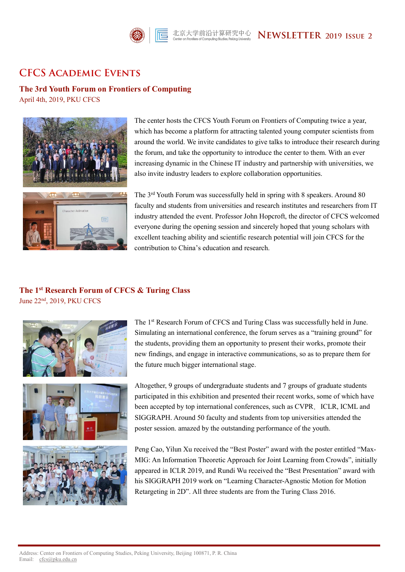

### **CFCS ACADEMIC EVENTS**

**The 3rd Youth Forum on Frontiers of Computing**

April 4th, 2019, PKU CFCS



The center hosts the CFCS Youth Forum on Frontiers of Computing twice a year, which has become a platform for attracting talented young computer scientists from around the world. We invite candidates to give talks to introduce their research during the forum, and take the opportunity to introduce the center to them. With an ever increasing dynamic in the Chinese IT industry and partnership with universities, we also invite industry leaders to explore collaboration opportunities.

The 3rd Youth Forum was successfully held in spring with 8 speakers. Around 80 faculty and students from universities and research institutes and researchers from IT industry attended the event. Professor John Hopcroft, the director of CFCS welcomed everyone during the opening session and sincerely hoped that young scholars with excellent teaching ability and scientific research potential will join CFCS for the contribution to China's education and research.

## **The 1st Research Forum of CFCS & Turing Class**

June 22nd, 2019, PKU CFCS





The 1<sup>st</sup> Research Forum of CFCS and Turing Class was successfully held in June. Simulating an international conference, the forum serves as a "training ground" for the students, providing them an opportunity to present their works, promote their new findings, and engage in interactive communications, so as to prepare them for the future much bigger international stage.

Altogether, 9 groups of undergraduate students and 7 groups of graduate students participated in this exhibition and presented their recent works, some of which have been accepted by top international conferences, such as CVPR, ICLR, ICML and SIGGRAPH. Around 50 faculty and students from top universities attended the poster session. amazed by the outstanding performance of the youth.

Peng Cao, Yilun Xu received the "Best Poster" award with the poster entitled "Max-MIG: An Information Theoretic Approach for Joint Learning from Crowds", initially appeared in ICLR 2019, and Rundi Wu received the "Best Presentation" award with his SIGGRAPH 2019 work on "Learning Character-Agnostic Motion for Motion Retargeting in 2D". All three students are from the Turing Class 2016.